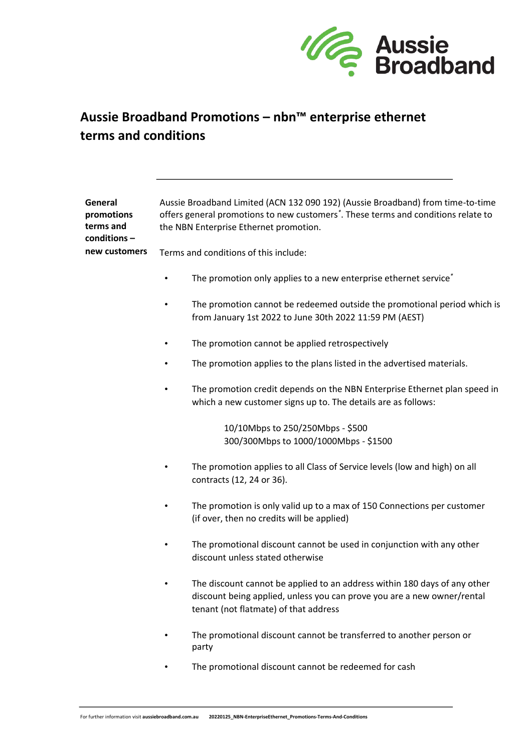

## **Aussie Broadband Promotions – nbn™ enterprise ethernet terms and conditions**

| General<br>promotions<br>terms and<br>conditions- | Aussie Broadband Limited (ACN 132 090 192) (Aussie Broadband) from time-to-time<br>offers general promotions to new customers*. These terms and conditions relate to<br>the NBN Enterprise Ethernet promotion. |
|---------------------------------------------------|----------------------------------------------------------------------------------------------------------------------------------------------------------------------------------------------------------------|
| new customers                                     | Terms and conditions of this include:                                                                                                                                                                          |
|                                                   | The promotion only applies to a new enterprise ethernet service <sup>*</sup>                                                                                                                                   |
|                                                   | The promotion cannot be redeemed outside the promotional period which is<br>from January 1st 2022 to June 30th 2022 11:59 PM (AEST)                                                                            |
|                                                   | The promotion cannot be applied retrospectively                                                                                                                                                                |
|                                                   | The promotion applies to the plans listed in the advertised materials.                                                                                                                                         |
|                                                   | The promotion credit depends on the NBN Enterprise Ethernet plan speed in<br>which a new customer signs up to. The details are as follows:                                                                     |
|                                                   | 10/10Mbps to 250/250Mbps - \$500<br>300/300Mbps to 1000/1000Mbps - \$1500                                                                                                                                      |
|                                                   | The promotion applies to all Class of Service levels (low and high) on all<br>contracts (12, 24 or 36).                                                                                                        |
|                                                   | The promotion is only valid up to a max of 150 Connections per customer<br>(if over, then no credits will be applied)                                                                                          |
|                                                   | The promotional discount cannot be used in conjunction with any other<br>discount unless stated otherwise                                                                                                      |
|                                                   | The discount cannot be applied to an address within 180 days of any other<br>discount being applied, unless you can prove you are a new owner/rental<br>tenant (not flatmate) of that address                  |
|                                                   | The promotional discount cannot be transferred to another person or<br>party                                                                                                                                   |

• The promotional discount cannot be redeemed for cash